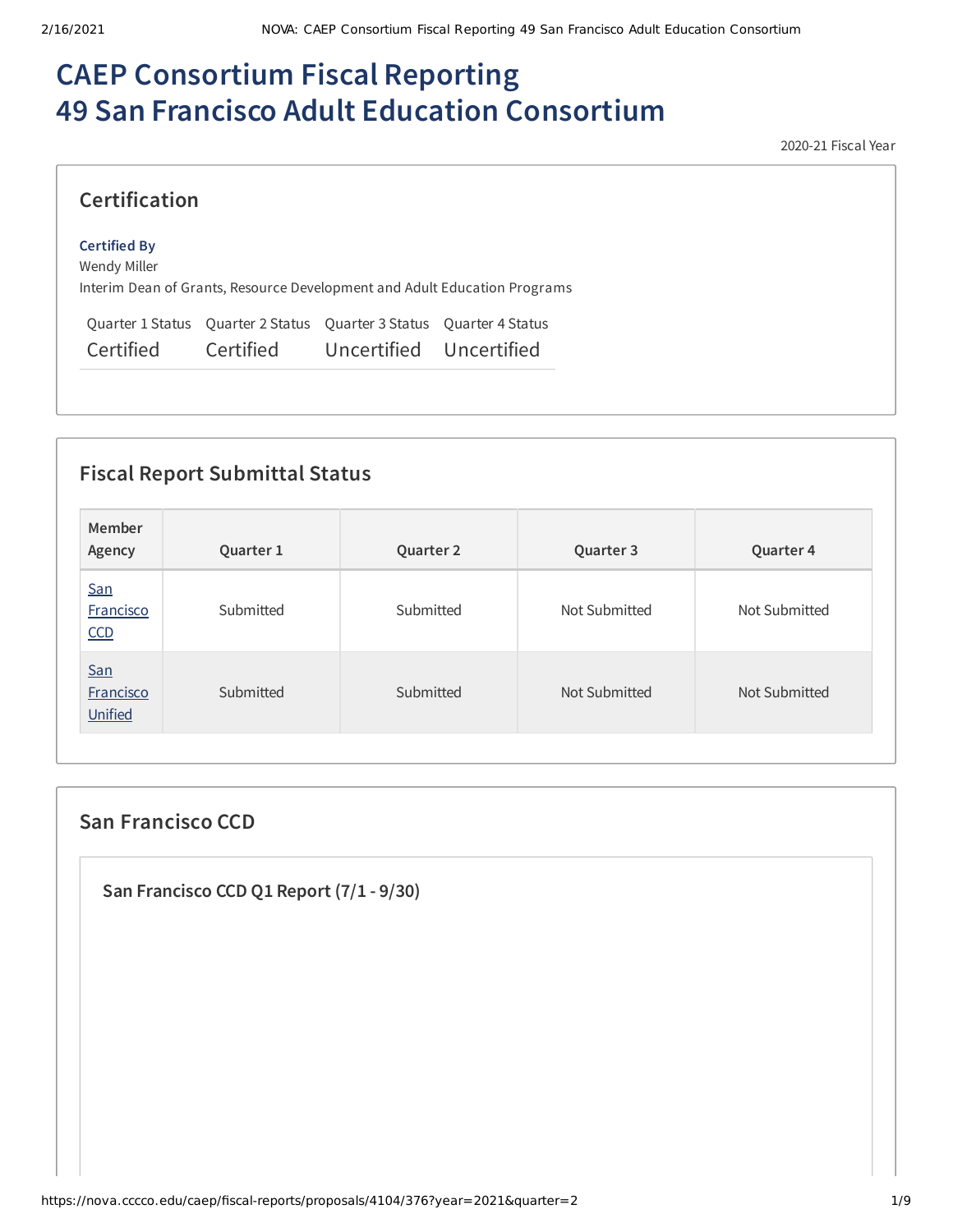# **CAEP Consortium Fiscal Reporting 49 San Francisco Adult Education Consortium**

2020-21 Fiscal Year

| <b>Certification</b>                |           |                                                                     |                                                                           |
|-------------------------------------|-----------|---------------------------------------------------------------------|---------------------------------------------------------------------------|
| <b>Certified By</b><br>Wendy Miller |           |                                                                     | Interim Dean of Grants, Resource Development and Adult Education Programs |
|                                     |           | Quarter 1 Status Quarter 2 Status Quarter 3 Status Quarter 4 Status |                                                                           |
| Certified                           | Certified | Uncertified Uncertified                                             |                                                                           |

## **Fiscal Report Submittal Status**

| Member<br>Agency            | Quarter 1 | Quarter 2 | Quarter 3     | Quarter 4     |
|-----------------------------|-----------|-----------|---------------|---------------|
| San<br>Francisco<br>CCD     | Submitted | Submitted | Not Submitted | Not Submitted |
| San<br>Francisco<br>Unified | Submitted | Submitted | Not Submitted | Not Submitted |

### **San Francisco CCD**

**San Francisco CCD Q1 Report (7/1 - 9/30)**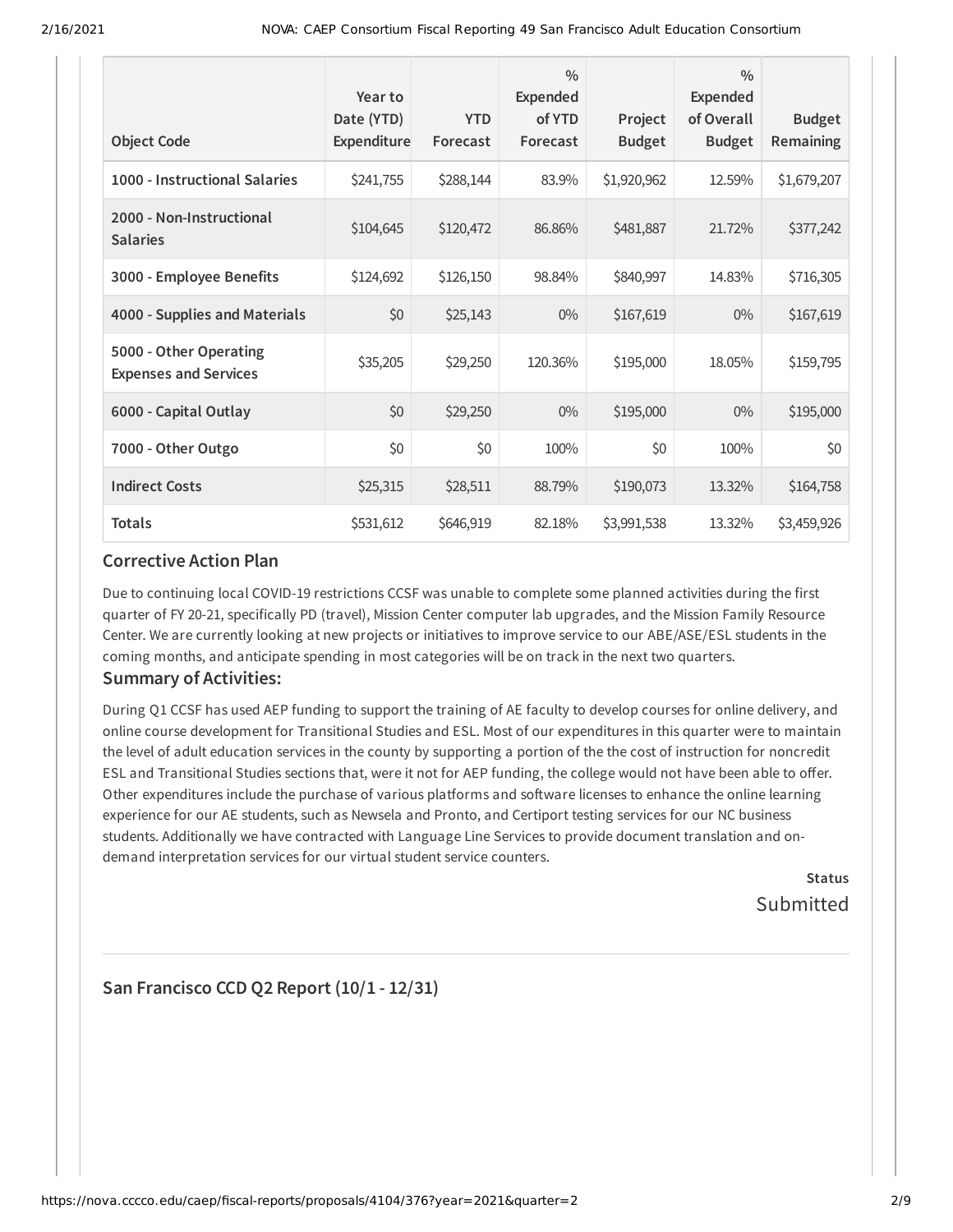| <b>Object Code</b>                                     | Year to<br>Date (YTD)<br>Expenditure | <b>YTD</b><br>Forecast | $\frac{0}{0}$<br>Expended<br>of YTD<br>Forecast | Project<br><b>Budget</b> | $\frac{0}{0}$<br>Expended<br>of Overall<br><b>Budget</b> | <b>Budget</b><br>Remaining |
|--------------------------------------------------------|--------------------------------------|------------------------|-------------------------------------------------|--------------------------|----------------------------------------------------------|----------------------------|
| 1000 - Instructional Salaries                          | \$241,755                            | \$288,144              | 83.9%                                           | \$1,920,962              | 12.59%                                                   | \$1,679,207                |
| 2000 - Non-Instructional<br><b>Salaries</b>            | \$104,645                            | \$120,472              | 86.86%                                          | \$481,887                | 21.72%                                                   | \$377,242                  |
| 3000 - Employee Benefits                               | \$124,692                            | \$126,150              | 98.84%                                          | \$840,997                | 14.83%                                                   | \$716,305                  |
| 4000 - Supplies and Materials                          | \$0                                  | \$25,143               | $0\%$                                           | \$167,619                | $0\%$                                                    | \$167,619                  |
| 5000 - Other Operating<br><b>Expenses and Services</b> | \$35,205                             | \$29,250               | 120.36%                                         | \$195,000                | 18.05%                                                   | \$159,795                  |
| 6000 - Capital Outlay                                  | \$0                                  | \$29,250               | $0\%$                                           | \$195,000                | $0\%$                                                    | \$195,000                  |
| 7000 - Other Outgo                                     | \$0                                  | \$0                    | 100%                                            | \$0                      | 100%                                                     | \$0                        |
| <b>Indirect Costs</b>                                  | \$25,315                             | \$28,511               | 88.79%                                          | \$190,073                | 13.32%                                                   | \$164,758                  |
| <b>Totals</b>                                          | \$531,612                            | \$646,919              | 82.18%                                          | \$3,991,538              | 13.32%                                                   | \$3,459,926                |

### **Corrective Action Plan**

Due to continuing local COVID-19 restrictions CCSF was unable to complete some planned activities during the first quarter of FY 20-21, specifically PD (travel), Mission Center computer lab upgrades, and the Mission Family Resource Center. We are currently looking at new projects or initiatives to improve service to our ABE/ASE/ESL students in the coming months, and anticipate spending in most categories will be on track in the next two quarters.

### **Summary of Activities:**

During Q1 CCSF has used AEP funding to support the training of AE faculty to develop courses for online delivery, and online course development for Transitional Studies and ESL. Most of our expenditures in this quarter were to maintain the level of adult education services in the county by supporting a portion of the the cost of instruction for noncredit ESL and Transitional Studies sections that, were it not for AEP funding, the college would not have been able to offer. Other expenditures include the purchase of various platforms and software licenses to enhance the online learning experience for our AE students, such as Newsela and Pronto, and Certiport testing services for our NC business students. Additionally we have contracted with Language Line Services to provide document translation and ondemand interpretation services for our virtual student service counters.

> **Status** Submitted

### **San Francisco CCD Q2 Report (10/1 - 12/31)**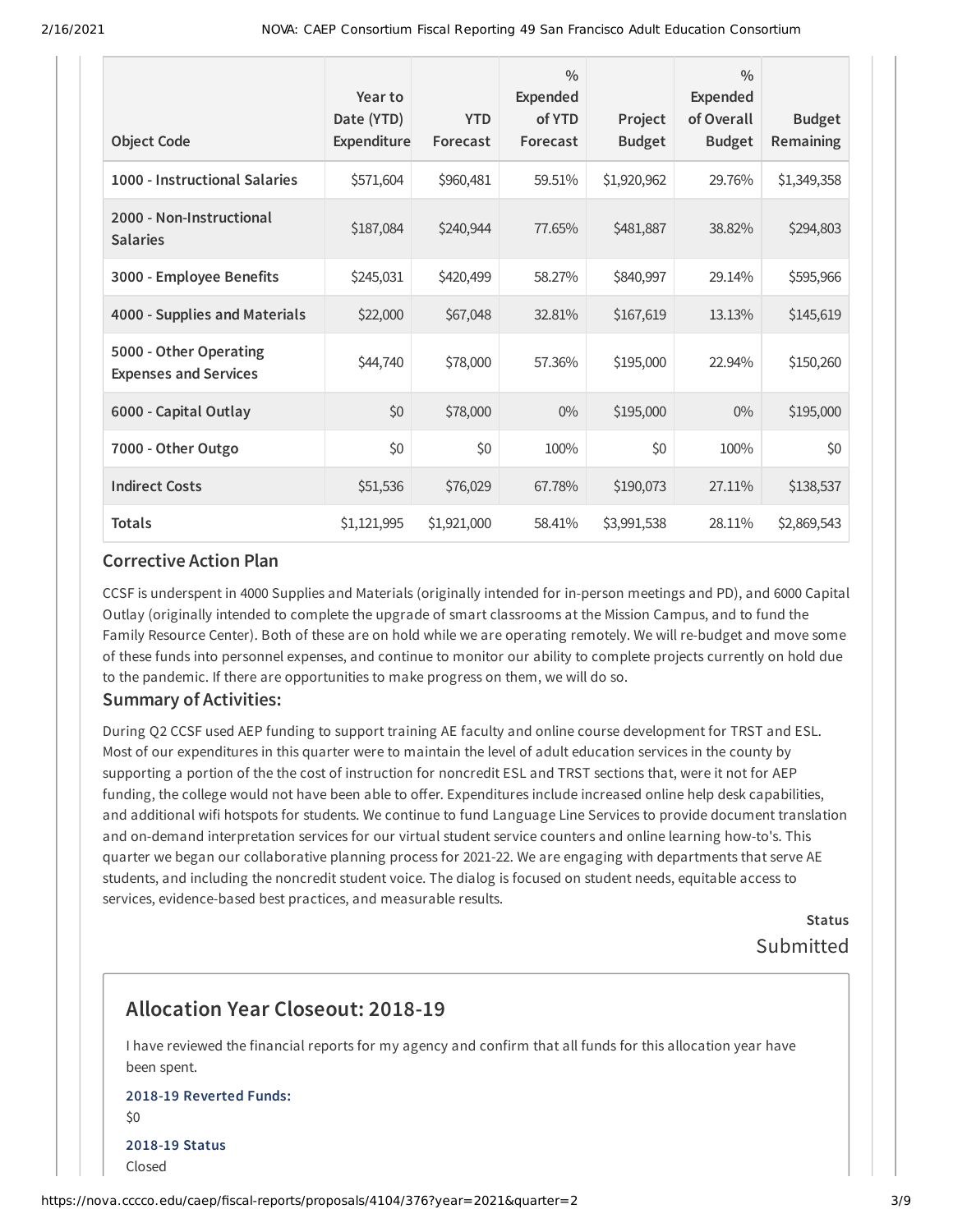| <b>Object Code</b>                                     | Year to<br>Date (YTD)<br>Expenditure | <b>YTD</b><br>Forecast | $\frac{0}{0}$<br><b>Expended</b><br>of YTD<br>Forecast | Project<br><b>Budget</b> | $\frac{0}{0}$<br>Expended<br>of Overall<br><b>Budget</b> | <b>Budget</b><br>Remaining |
|--------------------------------------------------------|--------------------------------------|------------------------|--------------------------------------------------------|--------------------------|----------------------------------------------------------|----------------------------|
| 1000 - Instructional Salaries                          | \$571,604                            | \$960,481              | 59.51%                                                 | \$1,920,962              | 29.76%                                                   | \$1,349,358                |
| 2000 - Non-Instructional<br><b>Salaries</b>            | \$187,084                            | \$240,944              | 77.65%                                                 | \$481,887                | 38.82%                                                   | \$294,803                  |
| 3000 - Employee Benefits                               | \$245,031                            | \$420,499              | 58.27%                                                 | \$840,997                | 29.14%                                                   | \$595,966                  |
| 4000 - Supplies and Materials                          | \$22,000                             | \$67,048               | 32.81%                                                 | \$167,619                | 13.13%                                                   | \$145,619                  |
| 5000 - Other Operating<br><b>Expenses and Services</b> | \$44,740                             | \$78,000               | 57.36%                                                 | \$195,000                | 22.94%                                                   | \$150,260                  |
| 6000 - Capital Outlay                                  | \$0                                  | \$78,000               | $0\%$                                                  | \$195,000                | $0\%$                                                    | \$195,000                  |
| 7000 - Other Outgo                                     | \$0                                  | \$0                    | 100%                                                   | \$0                      | 100%                                                     | \$0                        |
| <b>Indirect Costs</b>                                  | \$51,536                             | \$76,029               | 67.78%                                                 | \$190,073                | 27.11%                                                   | \$138,537                  |
| <b>Totals</b>                                          | \$1,121,995                          | \$1,921,000            | 58.41%                                                 | \$3,991,538              | 28.11%                                                   | \$2,869,543                |

### **Corrective Action Plan**

CCSF is underspent in 4000 Supplies and Materials (originally intended for in-person meetings and PD), and 6000 Capital Outlay (originally intended to complete the upgrade of smart classrooms at the Mission Campus, and to fund the Family Resource Center). Both of these are on hold while we are operating remotely. We will re-budget and move some of these funds into personnel expenses, and continue to monitor our ability to complete projects currently on hold due to the pandemic. If there are opportunities to make progress on them, we will do so.

#### **Summary of Activities:**

During Q2 CCSF used AEP funding to support training AE faculty and online course development for TRST and ESL. Most of our expenditures in this quarter were to maintain the level of adult education services in the county by supporting a portion of the the cost of instruction for noncredit ESL and TRST sections that, were it not for AEP funding, the college would not have been able to offer. Expenditures include increased online help desk capabilities, and additional wifi hotspots for students. We continue to fund Language Line Services to provide document translation and on-demand interpretation services for our virtual student service counters and online learning how-to's. This quarter we began our collaborative planning process for 2021-22. We are engaging with departments that serve AE students, and including the noncredit student voice. The dialog is focused on student needs, equitable access to services, evidence-based best practices, and measurable results.

> **Status** Submitted

# **Allocation Year Closeout: 2018-19**

I have reviewed the financial reports for my agency and confirm that all funds for this allocation year have been spent.

### **2018-19 Reverted Funds:**  $50$ **2018-19 Status** Closed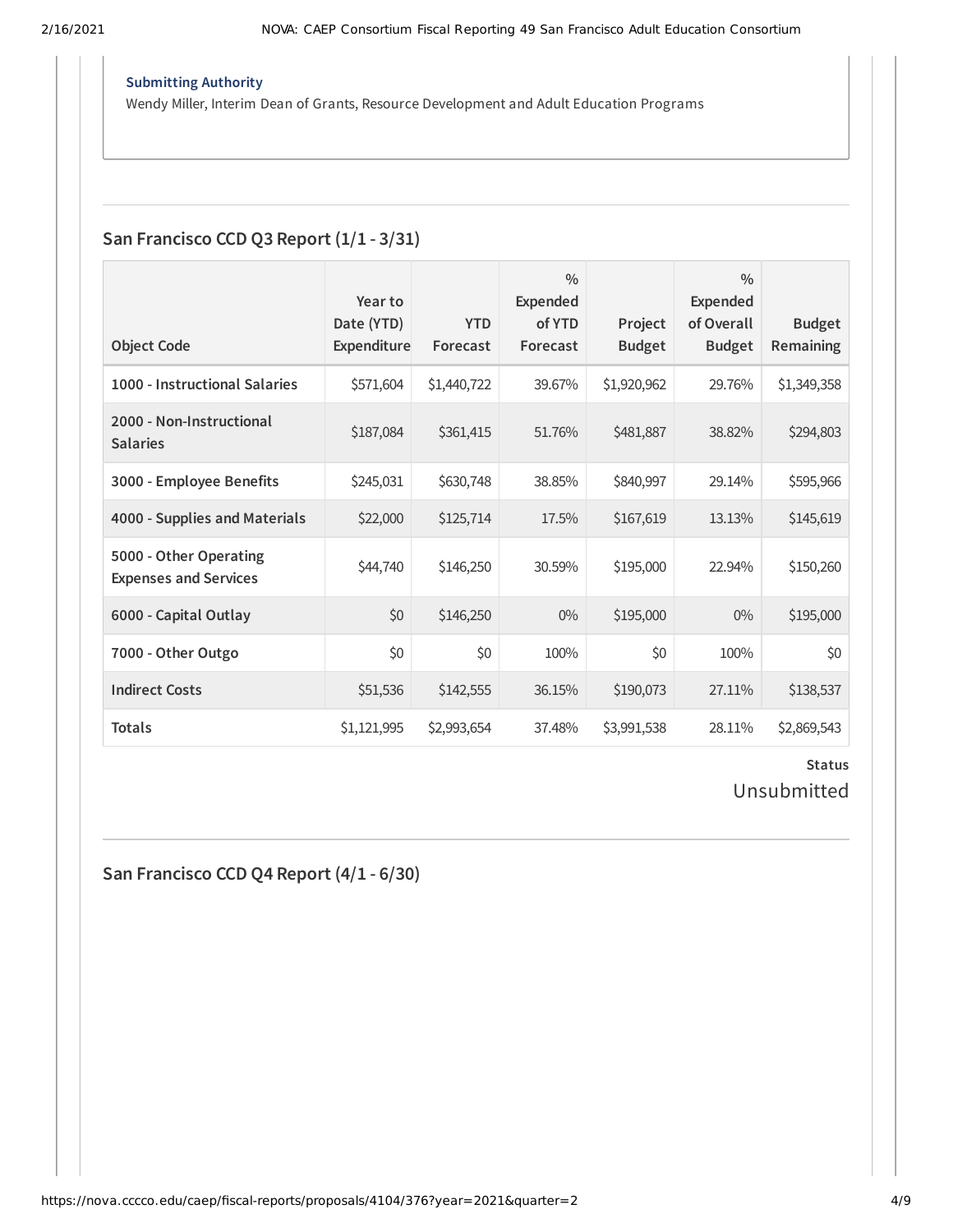#### **Submitting Authority**

Wendy Miller, Interim Dean of Grants, Resource Development and Adult Education Programs

### **San Francisco CCD Q3 Report (1/1 - 3/31)**

|                                                        | Year to                          |                        | 0/0<br><b>Expended</b> |                          | $\frac{0}{0}$<br><b>Expended</b> |                                   |
|--------------------------------------------------------|----------------------------------|------------------------|------------------------|--------------------------|----------------------------------|-----------------------------------|
| <b>Object Code</b>                                     | Date (YTD)<br><b>Expenditure</b> | <b>YTD</b><br>Forecast | of YTD<br>Forecast     | Project<br><b>Budget</b> | of Overall<br><b>Budget</b>      | <b>Budget</b><br><b>Remaining</b> |
| 1000 - Instructional Salaries                          | \$571,604                        | \$1,440,722            | 39.67%                 | \$1,920,962              | 29.76%                           | \$1,349,358                       |
| 2000 - Non-Instructional<br><b>Salaries</b>            | \$187,084                        | \$361,415              | 51.76%                 | \$481,887                | 38.82%                           | \$294,803                         |
| 3000 - Employee Benefits                               | \$245,031                        | \$630,748              | 38.85%                 | \$840,997                | 29.14%                           | \$595,966                         |
| 4000 - Supplies and Materials                          | \$22,000                         | \$125,714              | 17.5%                  | \$167,619                | 13.13%                           | \$145,619                         |
| 5000 - Other Operating<br><b>Expenses and Services</b> | \$44,740                         | \$146,250              | 30.59%                 | \$195,000                | 22.94%                           | \$150,260                         |
| 6000 - Capital Outlay                                  | \$0                              | \$146,250              | $0\%$                  | \$195,000                | $0\%$                            | \$195,000                         |
| 7000 - Other Outgo                                     | \$0                              | \$0                    | 100%                   | \$0                      | 100%                             | \$0                               |
| <b>Indirect Costs</b>                                  | \$51,536                         | \$142,555              | 36.15%                 | \$190,073                | 27.11%                           | \$138,537                         |
| <b>Totals</b>                                          | \$1,121,995                      | \$2,993,654            | 37.48%                 | \$3,991,538              | 28.11%                           | \$2,869,543                       |

### **Status** Unsubmitted

**San Francisco CCD Q4 Report (4/1 - 6/30)**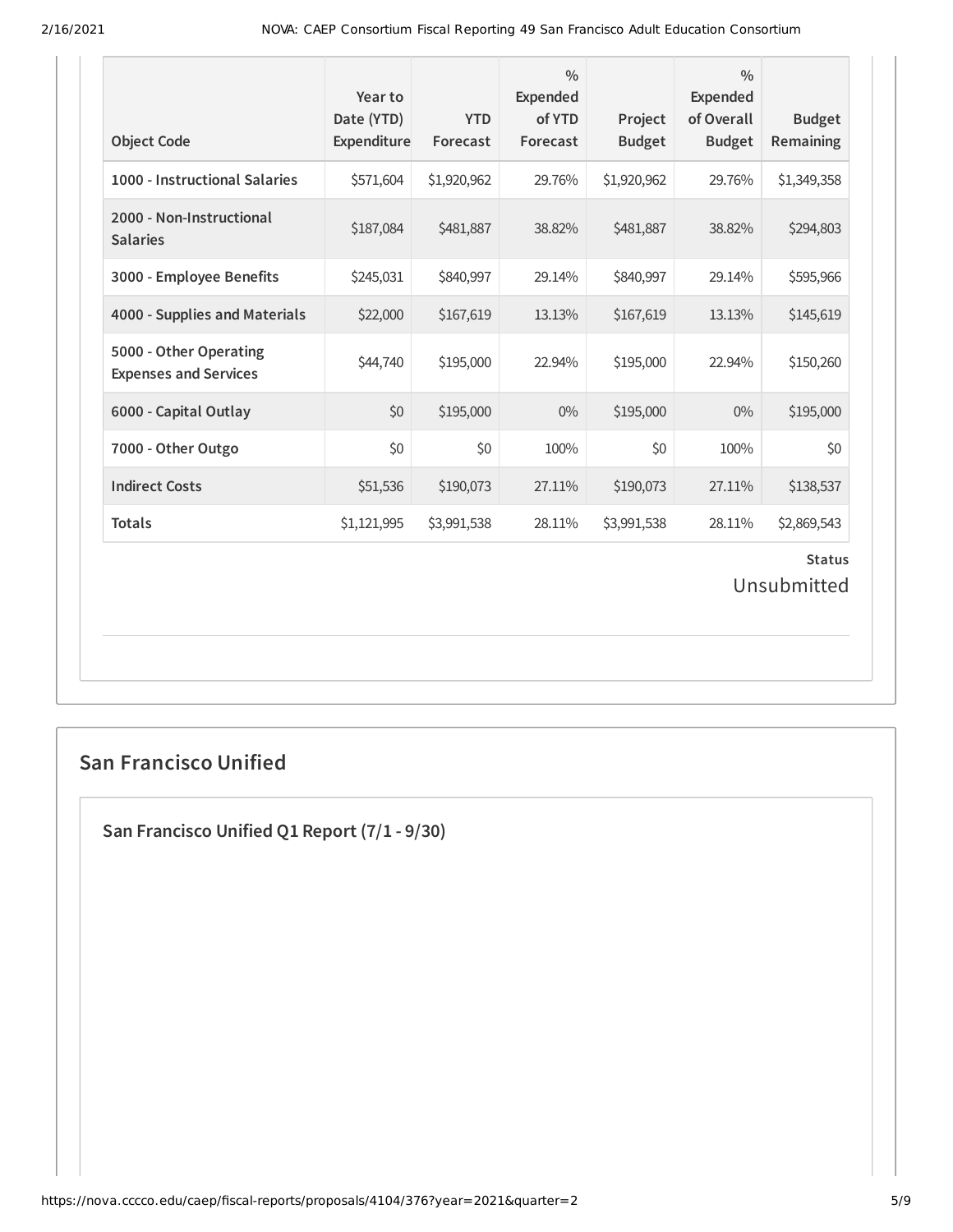| <b>Object Code</b>                                     | Year to<br>Date (YTD)<br>Expenditure | <b>YTD</b><br>Forecast | $\frac{0}{0}$<br>Expended<br>of YTD<br>Forecast | Project<br><b>Budget</b> | $\frac{0}{0}$<br><b>Expended</b><br>of Overall<br><b>Budget</b> | <b>Budget</b><br>Remaining |  |
|--------------------------------------------------------|--------------------------------------|------------------------|-------------------------------------------------|--------------------------|-----------------------------------------------------------------|----------------------------|--|
| 1000 - Instructional Salaries                          | \$571,604                            | \$1,920,962            | 29.76%                                          | \$1,920,962              | 29.76%                                                          | \$1,349,358                |  |
| 2000 - Non-Instructional<br><b>Salaries</b>            | \$187,084                            | \$481,887              | 38.82%                                          | \$481,887                | 38.82%                                                          | \$294,803                  |  |
| 3000 - Employee Benefits                               | \$245,031                            | \$840,997              | 29.14%                                          | \$840,997                | 29.14%                                                          | \$595,966                  |  |
| 4000 - Supplies and Materials                          | \$22,000                             | \$167,619              | 13.13%                                          | \$167,619                | 13.13%                                                          | \$145,619                  |  |
| 5000 - Other Operating<br><b>Expenses and Services</b> | \$44,740                             | \$195,000              | 22.94%                                          | \$195,000                | 22.94%                                                          | \$150,260                  |  |
| 6000 - Capital Outlay                                  | \$0                                  | \$195,000              | $0\%$                                           | \$195,000                | $0\%$                                                           | \$195,000                  |  |
| 7000 - Other Outgo                                     | \$0                                  | \$0                    | 100%                                            | \$0                      | 100%                                                            | \$0                        |  |
| <b>Indirect Costs</b>                                  | \$51,536                             | \$190,073              | 27.11%                                          | \$190,073                | 27.11%                                                          | \$138,537                  |  |
| <b>Totals</b>                                          | \$1,121,995                          | \$3,991,538            | 28.11%                                          | \$3,991,538              | 28.11%                                                          | \$2,869,543                |  |
| <b>Status</b><br>Unsubmitted                           |                                      |                        |                                                 |                          |                                                                 |                            |  |

### **San Francisco Unified**

**San Francisco Unified Q1 Report (7/1 - 9/30)**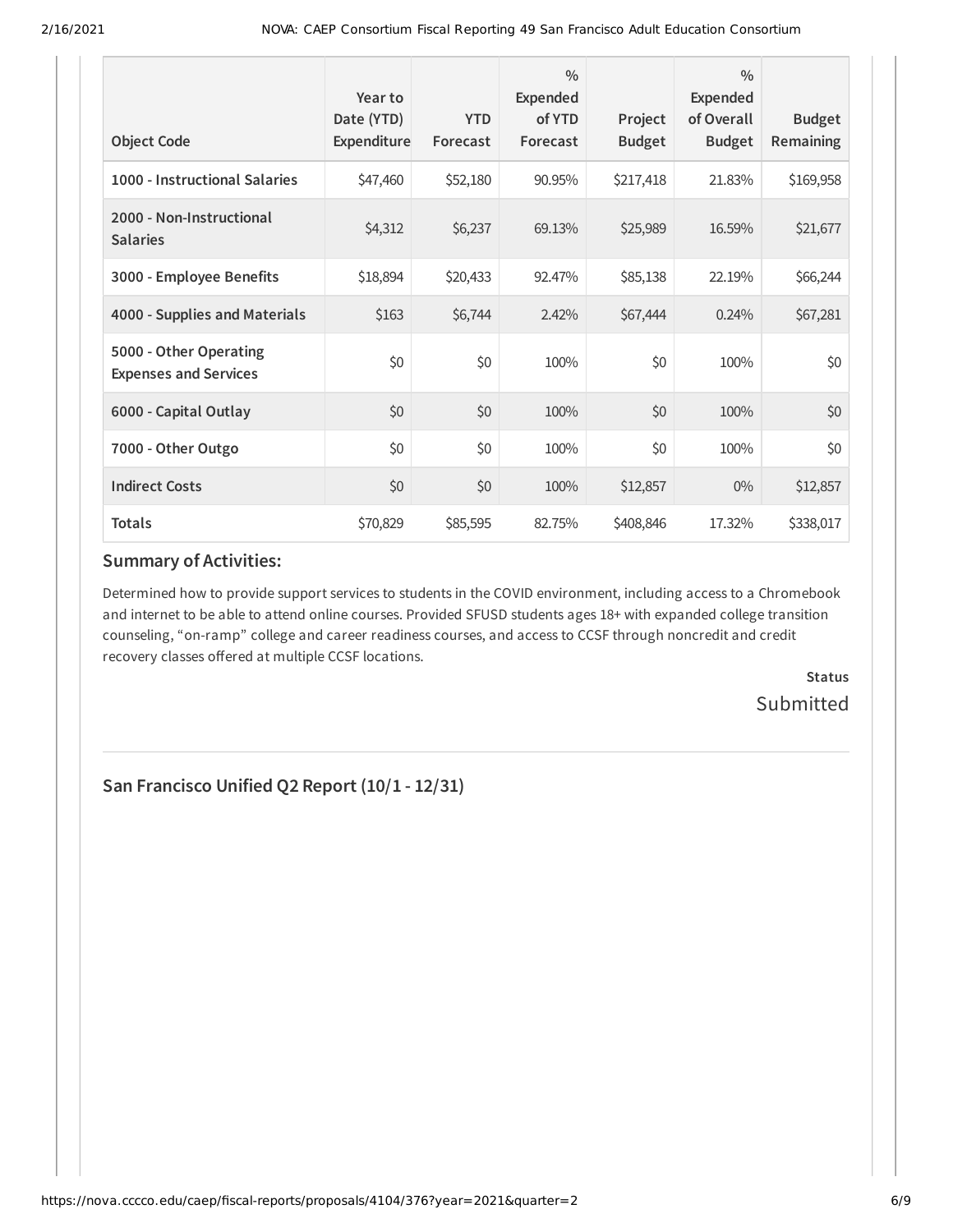| <b>Object Code</b>                                     | Year to<br>Date (YTD)<br>Expenditure | <b>YTD</b><br>Forecast | $\frac{0}{0}$<br>Expended<br>of YTD<br>Forecast | Project<br><b>Budget</b> | $\frac{0}{0}$<br>Expended<br>of Overall<br><b>Budget</b> | <b>Budget</b><br><b>Remaining</b> |
|--------------------------------------------------------|--------------------------------------|------------------------|-------------------------------------------------|--------------------------|----------------------------------------------------------|-----------------------------------|
| 1000 - Instructional Salaries                          | \$47,460                             | \$52,180               | 90.95%                                          | \$217,418                | 21.83%                                                   | \$169,958                         |
| 2000 - Non-Instructional<br><b>Salaries</b>            | \$4,312                              | \$6,237                | 69.13%                                          | \$25,989                 | 16.59%                                                   | \$21,677                          |
| 3000 - Employee Benefits                               | \$18,894                             | \$20,433               | 92.47%                                          | \$85,138                 | 22.19%                                                   | \$66,244                          |
| 4000 - Supplies and Materials                          | \$163                                | \$6,744                | 2.42%                                           | \$67,444                 | 0.24%                                                    | \$67,281                          |
| 5000 - Other Operating<br><b>Expenses and Services</b> | \$0                                  | \$0                    | 100%                                            | \$0                      | 100%                                                     | \$0                               |
| 6000 - Capital Outlay                                  | \$0                                  | \$0                    | 100%                                            | \$0                      | 100%                                                     | \$0                               |
| 7000 - Other Outgo                                     | \$0                                  | \$0                    | 100%                                            | \$0                      | 100%                                                     | \$0                               |
| <b>Indirect Costs</b>                                  | \$0                                  | \$0                    | 100%                                            | \$12,857                 | $0\%$                                                    | \$12,857                          |
| <b>Totals</b>                                          | \$70,829                             | \$85,595               | 82.75%                                          | \$408,846                | 17.32%                                                   | \$338,017                         |

# **Summary of Activities:**

Determined how to provide support services to students in the COVID environment, including access to a Chromebook and internet to be able to attend online courses. Provided SFUSD students ages 18+ with expanded college transition counseling, "on-ramp" college and career readiness courses, and access to CCSF through noncredit and credit recovery classes offered at multiple CCSF locations.

> **Status Submitted**

**San Francisco Unified Q2 Report (10/1 - 12/31)**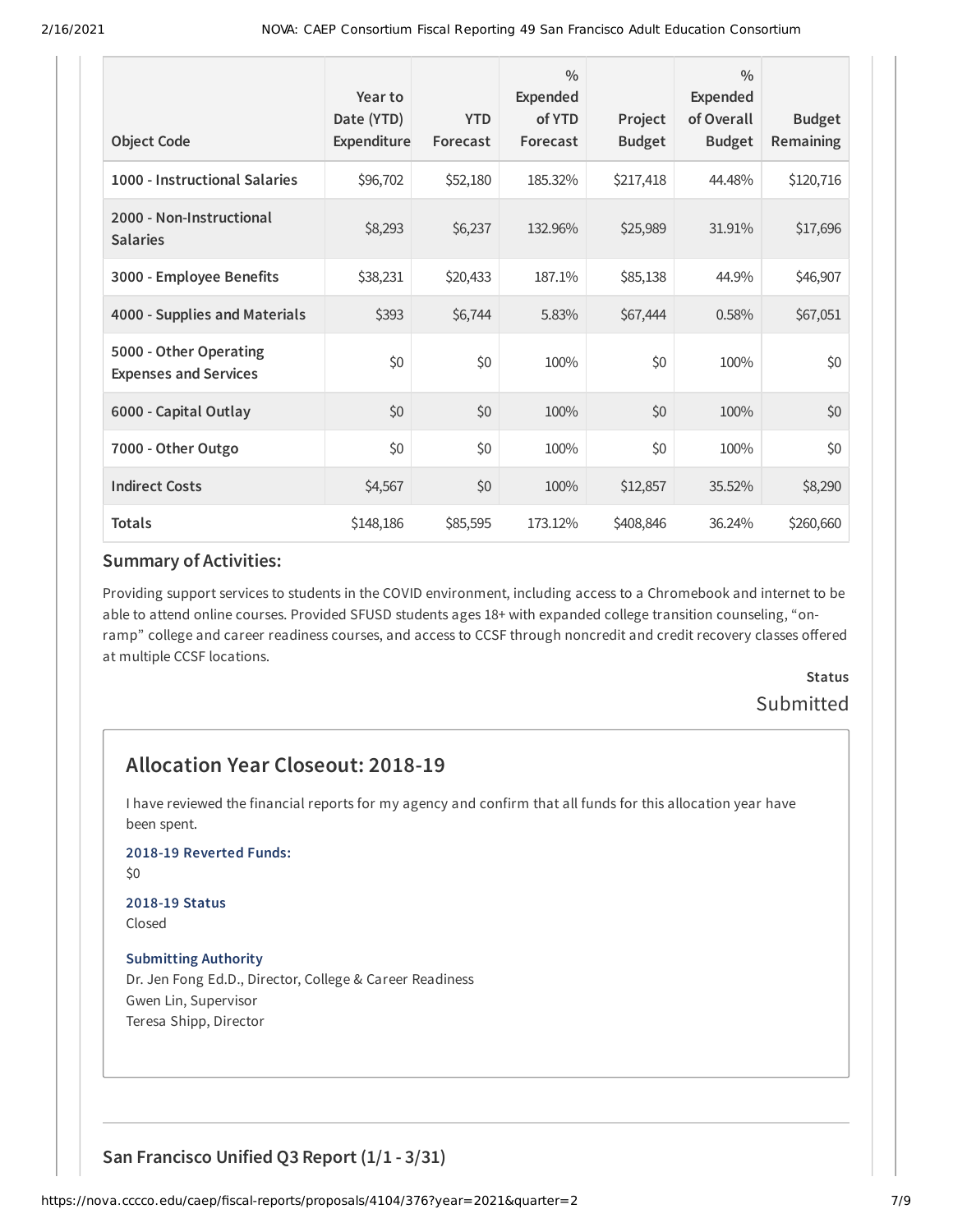|                                                        | Year to<br>Date (YTD) | <b>YTD</b> | $\frac{0}{0}$<br>Expended<br>of YTD | Project       | $\frac{0}{0}$<br><b>Expended</b><br>of Overall | <b>Budget</b>    |
|--------------------------------------------------------|-----------------------|------------|-------------------------------------|---------------|------------------------------------------------|------------------|
| <b>Object Code</b>                                     | Expenditure           | Forecast   | Forecast                            | <b>Budget</b> | <b>Budget</b>                                  | <b>Remaining</b> |
| 1000 - Instructional Salaries                          | \$96,702              | \$52,180   | 185.32%                             | \$217,418     | 44.48%                                         | \$120,716        |
| 2000 - Non-Instructional<br><b>Salaries</b>            | \$8,293               | \$6,237    | 132.96%                             | \$25,989      | 31.91%                                         | \$17,696         |
| 3000 - Employee Benefits                               | \$38,231              | \$20,433   | 187.1%                              | \$85,138      | 44.9%                                          | \$46,907         |
| 4000 - Supplies and Materials                          | \$393                 | \$6,744    | 5.83%                               | \$67,444      | 0.58%                                          | \$67,051         |
| 5000 - Other Operating<br><b>Expenses and Services</b> | \$0                   | \$0        | 100%                                | \$0           | 100%                                           | \$0              |
| 6000 - Capital Outlay                                  | \$0                   | \$0        | 100%                                | \$0           | 100%                                           | \$0              |
| 7000 - Other Outgo                                     | \$0                   | \$0        | 100%                                | \$0           | 100%                                           | \$0              |
| <b>Indirect Costs</b>                                  | \$4,567               | \$0        | 100%                                | \$12,857      | 35.52%                                         | \$8,290          |
| <b>Totals</b>                                          | \$148,186             | \$85,595   | 173.12%                             | \$408,846     | 36.24%                                         | \$260,660        |

### **Summary of Activities:**

Providing support services to students in the COVID environment, including access to a Chromebook and internet to be able to attend online courses. Provided SFUSD students ages 18+ with expanded college transition counseling, "onramp" college and career readiness courses, and access to CCSF through noncredit and credit recovery classes offered at multiple CCSF locations.

> **Status** Submitted

# **Allocation Year Closeout: 2018-19**

I have reviewed the financial reports for my agency and confirm that all funds for this allocation year have been spent.

### **2018-19 Reverted Funds:**

\$0

#### **2018-19 Status** Closed

#### **Submitting Authority**

Dr. Jen Fong Ed.D., Director, College & Career Readiness Gwen Lin, Supervisor Teresa Shipp, Director

### **San Francisco Unified Q3 Report (1/1 - 3/31)**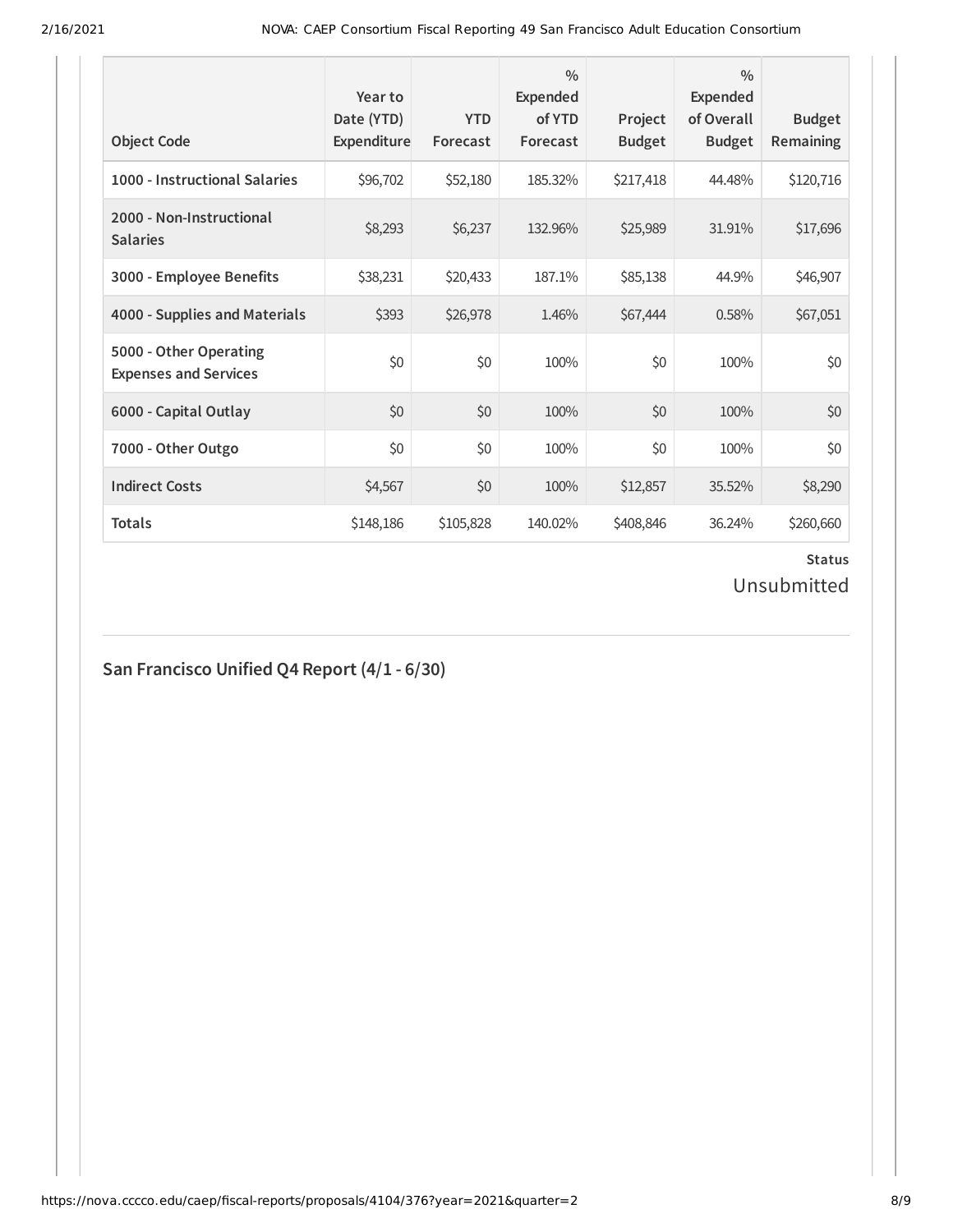| <b>Object Code</b>                                     | Year to<br>Date (YTD)<br>Expenditure | <b>YTD</b><br>Forecast | $\frac{0}{0}$<br>Expended<br>of YTD<br>Forecast | Project<br><b>Budget</b> | $\frac{0}{0}$<br>Expended<br>of Overall<br><b>Budget</b> | <b>Budget</b><br><b>Remaining</b> |
|--------------------------------------------------------|--------------------------------------|------------------------|-------------------------------------------------|--------------------------|----------------------------------------------------------|-----------------------------------|
| 1000 - Instructional Salaries                          | \$96,702                             | \$52,180               | 185.32%                                         | \$217,418                | 44.48%                                                   | \$120,716                         |
| 2000 - Non-Instructional<br><b>Salaries</b>            | \$8,293                              | \$6,237                | 132.96%                                         | \$25,989                 | 31.91%                                                   | \$17,696                          |
| 3000 - Employee Benefits                               | \$38,231                             | \$20,433               | 187.1%                                          | \$85,138                 | 44.9%                                                    | \$46,907                          |
| 4000 - Supplies and Materials                          | \$393                                | \$26,978               | 1.46%                                           | \$67,444                 | 0.58%                                                    | \$67,051                          |
| 5000 - Other Operating<br><b>Expenses and Services</b> | \$0                                  | \$0                    | 100%                                            | \$0                      | 100%                                                     | \$0                               |
| 6000 - Capital Outlay                                  | \$0                                  | \$0                    | 100%                                            | \$0                      | 100%                                                     | \$0                               |
| 7000 - Other Outgo                                     | \$0                                  | \$0                    | 100%                                            | \$0                      | 100%                                                     | \$0                               |
| <b>Indirect Costs</b>                                  | \$4,567                              | \$0                    | 100%                                            | \$12,857                 | 35.52%                                                   | \$8,290                           |
| <b>Totals</b>                                          | \$148,186                            | \$105,828              | 140.02%                                         | \$408,846                | 36.24%                                                   | \$260,660                         |

# **Status**

Unsubmitted

# **San Francisco Unified Q4 Report (4/1 - 6/30)**